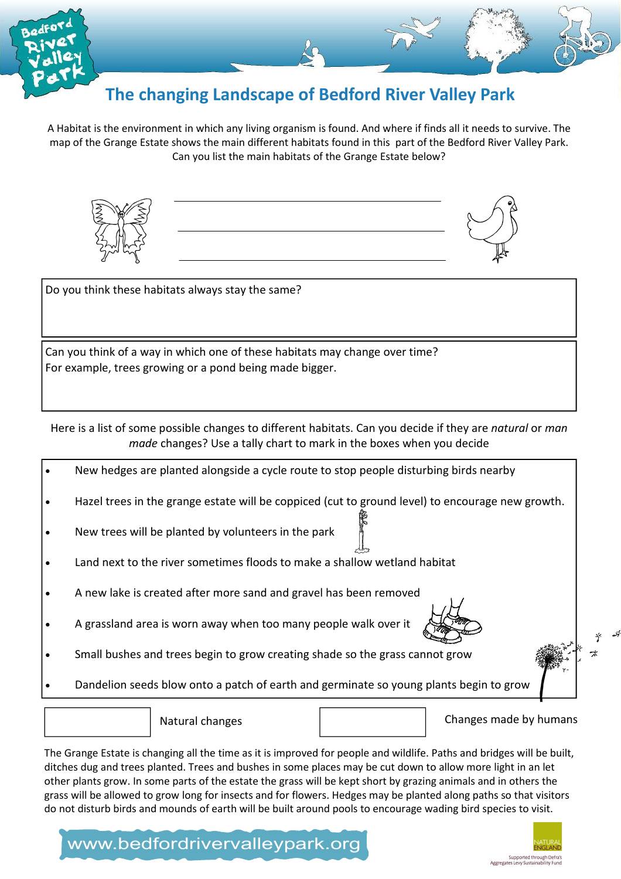

## The changing Landscape of Bedford River Valley Park

A Habitat is the environment in which any living organism is found. And where if finds all it needs to survive. The map of the Grange Estate shows the main different habitats found in this part of the Bedford River Valley Park. Can you list the main habitats of the Grange Estate below?



Do you think these habitats always stay the same?

Can you think of a way in which one of these habitats may change over time? For example, trees growing or a pond being made bigger.

Here is a list of some possible changes to different habitats. Can you decide if they are natural or man made changes? Use a tally chart to mark in the boxes when you decide

- New hedges are planted alongside a cycle route to stop people disturbing birds nearby
- Hazel trees in the grange estate will be coppiced (cut to ground level) to encourage new growth.
- New trees will be planted by volunteers in the park
- Land next to the river sometimes floods to make a shallow wetland habitat
- A new lake is created after more sand and gravel has been removed
- A grassland area is worn away when too many people walk over it
- Small bushes and trees begin to grow creating shade so the grass cannot grow
- Dandelion seeds blow onto a patch of earth and germinate so young plants begin to grow

Natural changes and the changes made by humans

The Grange Estate is changing all the time as it is improved for people and wildlife. Paths and bridges will be built, ditches dug and trees planted. Trees and bushes in some places may be cut down to allow more light in an let other plants grow. In some parts of the estate the grass will be kept short by grazing animals and in others the grass will be allowed to grow long for insects and for flowers. Hedges may be planted along paths so that visitors do not disturb birds and mounds of earth will be built around pools to encourage wading bird species to visit.

## www.bedfordrivervalleypark.org